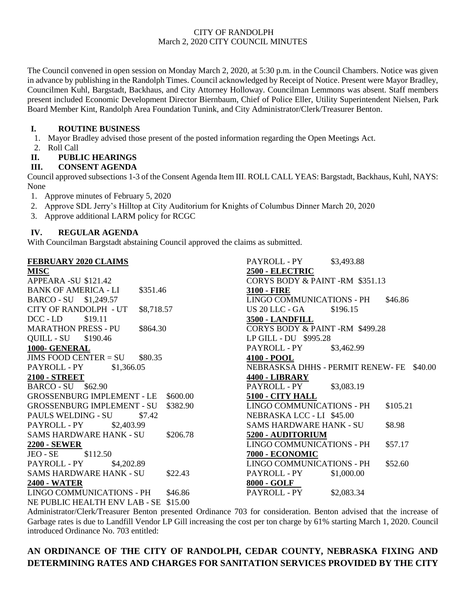#### CITY OF RANDOLPH March 2, 2020 CITY COUNCIL MINUTES

The Council convened in open session on Monday March 2, 2020, at 5:30 p.m. in the Council Chambers. Notice was given in advance by publishing in the Randolph Times. Council acknowledged by Receipt of Notice. Present were Mayor Bradley, Councilmen Kuhl, Bargstadt, Backhaus, and City Attorney Holloway. Councilman Lemmons was absent. Staff members present included Economic Development Director Biernbaum, Chief of Police Eller, Utility Superintendent Nielsen, Park Board Member Kint, Randolph Area Foundation Tunink, and City Administrator/Clerk/Treasurer Benton.

### **I. ROUTINE BUSINESS**

- 1. Mayor Bradley advised those present of the posted information regarding the Open Meetings Act.
- 2. Roll Call

### **II. PUBLIC HEARINGS**

#### **III. CONSENT AGENDA**

Council approved subsections 1-3 of the Consent Agenda Item III. ROLL CALL YEAS: Bargstadt, Backhaus, Kuhl, NAYS: None

1. Approve minutes of February 5, 2020

- 2. Approve SDL Jerry's Hilltop at City Auditorium for Knights of Columbus Dinner March 20, 2020
- 3. Approve additional LARM policy for RCGC

### **IV. REGULAR AGENDA**

With Councilman Bargstadt abstaining Council approved the claims as submitted.

| <b>FEBRUARY 2020 CLAIMS</b>                   | \$3,493.88<br>PAYROLL - PY                  |
|-----------------------------------------------|---------------------------------------------|
| <b>MISC</b>                                   | 2500 - ELECTRIC                             |
| APPEARA -SU \$121.42                          | CORYS BODY & PAINT-RM \$351.13              |
| <b>BANK OF AMERICA - LI</b><br>\$351.46       | <b>3100 - FIRE</b>                          |
| BARCO - SU \$1,249.57                         | <b>LINGO COMMUNICATIONS - PH</b><br>\$46.86 |
| <b>CITY OF RANDOLPH - UT</b><br>\$8,718.57    | US 20 LLC - GA<br>\$196.15                  |
| \$19.11<br>$DCC$ - $LD$                       | 3500 - LANDFILL                             |
| <b>MARATHON PRESS - PU</b><br>\$864.30        | CORYS BODY & PAINT-RM \$499.28              |
| QUILL - SU \$190.46                           | LP GILL - DU \$995.28                       |
| 1000- GENERAL                                 | PAYROLL - PY<br>\$3,462.99                  |
| $JIMS$ FOOD CENTER $= SU$<br>\$80.35          | 4100 - POOL                                 |
| PAYROLL - PY<br>\$1,366.05                    | NEBRASKSA DHHS - PERMIT RENEW- FE \$40.00   |
| <b>2100 - STREET</b>                          | <b>4400 - LIBRARY</b>                       |
| <b>BARCO - SU \$62.90</b>                     | PAYROLL - PY<br>\$3,083.19                  |
| <b>GROSSENBURG IMPLEMENT - LE</b><br>\$600.00 | 5100 - CITY HALL                            |
| <b>GROSSENBURG IMPLEMENT - SU</b><br>\$382.90 | LINGO COMMUNICATIONS - PH<br>\$105.21       |
| PAULS WELDING - SU<br>\$7.42                  | NEBRASKA LCC - LI \$45.00                   |
| PAYROLL - PY<br>\$2,403.99                    | <b>SAMS HARDWARE HANK - SU</b><br>\$8.98    |
| \$206.78<br><b>SAMS HARDWARE HANK - SU</b>    | 5200 - AUDITORIUM                           |
| <b>2200 - SEWER</b>                           | <b>LINGO COMMUNICATIONS - PH</b><br>\$57.17 |
| $JEO - SE$ \$112.50                           | 7000 - ECONOMIC                             |
| PAYROLL - PY<br>\$4,202.89                    | <b>LINGO COMMUNICATIONS - PH</b><br>\$52.60 |
| <b>SAMS HARDWARE HANK - SU</b><br>\$22.43     | PAYROLL - PY<br>\$1,000.00                  |
| <b>2400 - WATER</b>                           | 8000 - GOLF                                 |
| LINGO COMMUNICATIONS - PH<br>\$46.86          | PAYROLL - PY<br>\$2,083.34                  |
| NE PUBLIC HEALTH ENV LAB - SE<br>\$15.00      |                                             |

Administrator/Clerk/Treasurer Benton presented Ordinance 703 for consideration. Benton advised that the increase of Garbage rates is due to Landfill Vendor LP Gill increasing the cost per ton charge by 61% starting March 1, 2020. Council introduced Ordinance No. 703 entitled:

# **AN ORDINANCE OF THE CITY OF RANDOLPH, CEDAR COUNTY, NEBRASKA FIXING AND DETERMINING RATES AND CHARGES FOR SANITATION SERVICES PROVIDED BY THE CITY**